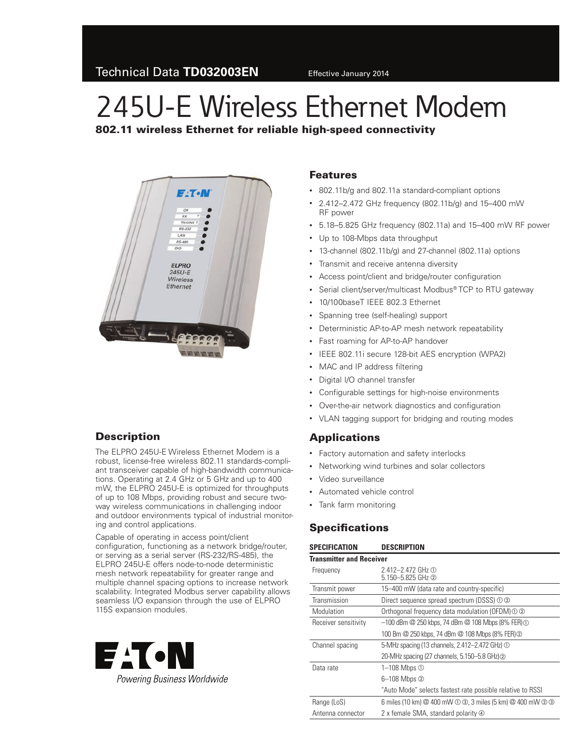# 245U-E Wireless Ethernet Modem

802.11 wireless Ethernet for reliable high-speed connectivity



#### **Description**

The ELPRO 245U-E Wireless Ethernet Modem is a robust, license-free wireless 802.11 standards-compliant transceiver capable of high-bandwidth communications. Operating at 2.4 GHz or 5 GHz and up to 400 mW, the ELPRO 245U-E is optimized for throughputs of up to 108 Mbps, providing robust and secure twoway wireless communications in challenging indoor and outdoor environments typical of industrial monitoring and control applications.

Capable of operating in access point/client configuration, functioning as a network bridge/router, or serving as a serial server (RS‑232/RS-485), the ELPRO 245U-E offers node-to-node deterministic mesh network repeatability for greater range and multiple channel spacing options to increase network scalability. Integrated Modbus server capability allows seamless I/O expansion through the use of ELPRO 115S expansion modules.



#### Features

- • 802.11b/g and 802.11a standard-compliant options
- • 2.412–2.472 GHz frequency (802.11b/g) and 15–400 mW RF power
- • 5.18–5.825 GHz frequency (802.11a) and 15–400 mW RF power
- Up to 108-Mbps data throughput
- • 13-channel (802.11b/g) and 27-channel (802.11a) options
- • Transmit and receive antenna diversity
- • Access point/client and bridge/router configuration
- Serial client/server/multicast Modbus® TCP to RTU gateway
- 10/100baseT IEEE 802.3 Ethernet
- • Spanning tree (self-healing) support
- Deterministic AP-to-AP mesh network repeatability
- Fast roaming for AP-to-AP handover
- IEEE 802.11i secure 128-bit AES encryption (WPA2)
- MAC and IP address filtering
- • Digital I/O channel transfer
- • Configurable settings for high-noise environments
- • Over-the-air network diagnostics and configuration
- VLAN tagging support for bridging and routing modes

#### Applications

- Factory automation and safety interlocks
- • Networking wind turbines and solar collectors
- Video surveillance
- • Automated vehicle control
- • Tank farm monitoring

#### **Specifications**

| SPECIFICATION                   | <b>DESCRIPTION</b>                                                    |  |  |  |
|---------------------------------|-----------------------------------------------------------------------|--|--|--|
| <b>Transmitter and Receiver</b> |                                                                       |  |  |  |
| Frequency                       | $2.412 - 2.472$ GHz ①<br>$5.150 - 5.825$ GHz $\circledcirc$           |  |  |  |
| Transmit power                  | 15-400 mW (data rate and country-specific)                            |  |  |  |
| Transmission                    | Direct sequence spread spectrum (DSSS) ① ②                            |  |  |  |
| Modulation                      | Orthogonal frequency data modulation (OFDM) ① ②                       |  |  |  |
| Receiver sensitivity            | $-100$ dBm $@$ 250 kbps, 74 dBm $@$ 108 Mbps (8% FER) $@$             |  |  |  |
|                                 | 100 Bm @ 250 kbps, 74 dBm @ 108 Mbps (8% FER) @                       |  |  |  |
| Channel spacing                 | 5-MHz spacing (13 channels, 2.412–2.472 GHz) ①                        |  |  |  |
|                                 | 20-MHz spacing (27 channels, 5.150-5.8 GHz) 2                         |  |  |  |
| Data rate                       | 1–108 Mbps $\odot$                                                    |  |  |  |
|                                 | 6-108 Mbps 2                                                          |  |  |  |
|                                 | "Auto Mode" selects fastest rate possible relative to RSSI            |  |  |  |
| Range (LoS)                     | 6 miles (10 km) @ 400 mW $\odot$ 3, 3 miles (5 km) @ 400 mW $\odot$ 3 |  |  |  |
| Antenna connector               | 2 x female SMA, standard polarity 4                                   |  |  |  |
|                                 |                                                                       |  |  |  |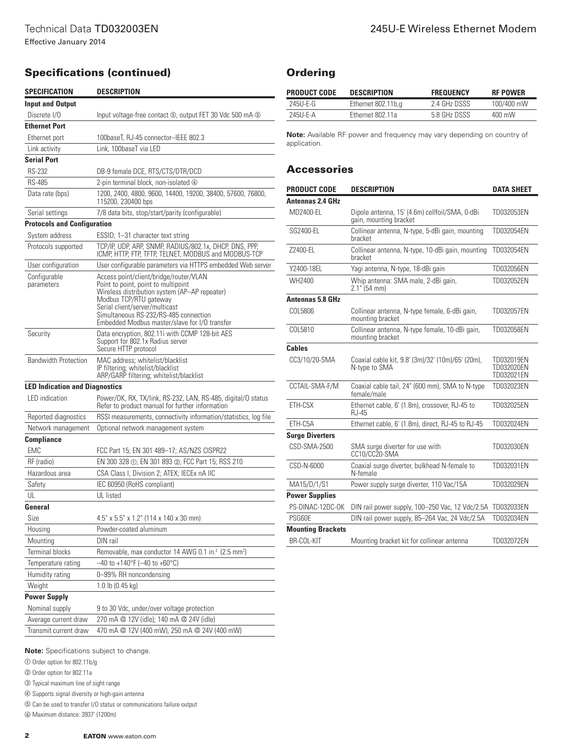## Specifications (continued)

| SPECIFICATION                         | <b>DESCRIPTION</b>                                                                                                                                                                                                                                                                   |  |
|---------------------------------------|--------------------------------------------------------------------------------------------------------------------------------------------------------------------------------------------------------------------------------------------------------------------------------------|--|
| <b>Input and Output</b>               |                                                                                                                                                                                                                                                                                      |  |
| Discrete I/O                          | Input voltage-free contact 5, output FET 30 Vdc 500 mA 5                                                                                                                                                                                                                             |  |
| <b>Ethernet Port</b>                  |                                                                                                                                                                                                                                                                                      |  |
| Ethernet port                         | 100baseT, RJ-45 connector-IEEE 802.3                                                                                                                                                                                                                                                 |  |
| Link activity                         | Link. 100baseT via LED                                                                                                                                                                                                                                                               |  |
| <b>Serial Port</b>                    |                                                                                                                                                                                                                                                                                      |  |
| RS-232                                | DB-9 female DCE, RTS/CTS/DTR/DCD                                                                                                                                                                                                                                                     |  |
| <b>RS-485</b>                         | 2-pin terminal block, non-isolated 6                                                                                                                                                                                                                                                 |  |
| Data rate (bps)                       | 1200, 2400, 4800, 9600, 14400, 19200, 38400, 57600, 76800,<br>115200, 230400 bps                                                                                                                                                                                                     |  |
| Serial settings                       | 7/8 data bits, stop/start/parity (configurable)                                                                                                                                                                                                                                      |  |
| <b>Protocols and Configuration</b>    |                                                                                                                                                                                                                                                                                      |  |
| System address                        | ESSID; 1-31 character text string                                                                                                                                                                                                                                                    |  |
| Protocols supported                   | TCP/IP, UDP, ARP, SNMP, RADIUS/802.1x, DHCP, DNS, PPP,<br>ICMP, HTTP, FTP, TFTP, TELNET, MODBUS and MODBUS-TCP                                                                                                                                                                       |  |
| User configuration                    | User configurable parameters via HTTPS embedded Web server                                                                                                                                                                                                                           |  |
| Configurable<br>parameters            | Access point/client/bridge/router/VLAN<br>Point to point, point to multipoint<br>Wireless distribution system (AP-AP repeater)<br>Modbus TCP/RTU gateway<br>Serial client/server/multicast<br>Simultaneous RS-232/RS-485 connection<br>Embedded Modbus master/slave for I/O transfer |  |
| Security                              | Data encryption, 802.11i with CCMP 128-bit AES<br>Support for 802.1x Radius server<br>Secure HTTP protocol                                                                                                                                                                           |  |
| <b>Bandwidth Protection</b>           | MAC address; whitelist/blacklist<br>IP filtering; whitelist/blacklist<br>ARP/GARP filtering; whitelist/blacklist                                                                                                                                                                     |  |
| <b>LED Indication and Diagnostics</b> |                                                                                                                                                                                                                                                                                      |  |
| LED indication                        | Power/OK, RX, TX/link, RS-232, LAN, RS-485, digital/O status<br>Refer to product manual for further information                                                                                                                                                                      |  |
| Reported diagnostics                  | RSSI measurements, connectivity information/statistics, log file                                                                                                                                                                                                                     |  |
| Network management                    | Optional network management system                                                                                                                                                                                                                                                   |  |
| <b>Compliance</b>                     |                                                                                                                                                                                                                                                                                      |  |
| EMC                                   | FCC Part 15; EN 301 489-17; AS/NZS CISPR22                                                                                                                                                                                                                                           |  |
| RF (radio)                            | EN 300 328 ①; EN 301 893 ②; FCC Part 15; RSS 210                                                                                                                                                                                                                                     |  |
| Hazardous area                        | CSA Class I, Division 2; ATEX; IECEx nA IIC                                                                                                                                                                                                                                          |  |
| Safety                                | IEC 60950 (RoHS compliant)                                                                                                                                                                                                                                                           |  |
| ul                                    | UL listed                                                                                                                                                                                                                                                                            |  |
| General                               |                                                                                                                                                                                                                                                                                      |  |
| Size                                  | 4.5" x 5.5" x 1.2" (114 x 140 x 30 mm)                                                                                                                                                                                                                                               |  |
| Housing                               | Powder-coated aluminum                                                                                                                                                                                                                                                               |  |
| Mounting                              | DIN rail                                                                                                                                                                                                                                                                             |  |
| <b>Terminal blocks</b>                | Removable, max conductor 14 AWG 0.1 in. <sup>2</sup> (2.5 mm <sup>2</sup> )                                                                                                                                                                                                          |  |
| Temperature rating                    | $-40$ to +140°F (-40 to +60°C)                                                                                                                                                                                                                                                       |  |
| Humidity rating                       | 0-99% RH noncondensing                                                                                                                                                                                                                                                               |  |
| Weight                                | 1.0 lb (0.45 kg)                                                                                                                                                                                                                                                                     |  |
| <b>Power Supply</b>                   |                                                                                                                                                                                                                                                                                      |  |
| Nominal supply                        | 9 to 30 Vdc, under/over voltage protection                                                                                                                                                                                                                                           |  |
| Average current draw                  | 270 mA @ 12V (idle); 140 mA @ 24V (idle)                                                                                                                                                                                                                                             |  |
| Transmit current draw                 | 470 mA @ 12V (400 mW), 250 mA @ 24V (400 mW)                                                                                                                                                                                                                                         |  |

**Note:** Specifications subject to change.

a Order option for 802.11b/g

b Order option for 802.11a

c Typical maximum line of sight range

d Supports signal diversity or high-gain antenna

e Can be used to transfer I/O status or communications failure output

f Maximum distance: 3937' (1200m)

### **Ordering**

| <b>PRODUCT CODE</b> | <b>DESCRIPTION</b> | <b>FREQUENCY</b> | <b>RF POWER</b>  |
|---------------------|--------------------|------------------|------------------|
| 245U-E-G            | Ethernet 802.11b,q | 2.4 GHz DSSS     | 100/400 mW       |
| 245U-E-A            | Ethernet 802.11a   | 5.8 GHz DSSS     | $400 \text{ mW}$ |

Note: Available RF power and frequency may vary depending on country of application.

#### **Accessories**

| <b>PRODUCT CODE</b>      | <b>DESCRIPTION</b>                                                       | <b>DATA SHEET</b>                      |
|--------------------------|--------------------------------------------------------------------------|----------------------------------------|
| Antennas 2.4 GHz         |                                                                          |                                        |
| MD2400-EL                | Dipole antenna, 15' (4.6m) cellfoil/SMA, 0-dBi<br>gain, mounting bracket | TD032053EN                             |
| SG2400-EL                | Collinear antenna, N-type, 5-dBi gain, mounting<br>bracket               | TD032054EN                             |
| 72400-EL                 | Collinear antenna, N-type, 10-dBi gain, mounting<br>bracket              | TD032054EN                             |
| Y2400-18EL               | Yagi antenna, N-type, 18-dBi gain                                        | TD032056EN                             |
| WH2400                   | Whip antenna: SMA male, 2-dBi gain,<br>2.1" (54 mm)                      | TD032052EN                             |
| <b>Antennas 5.8 GHz</b>  |                                                                          |                                        |
| COL5806                  | Collinear antenna, N-type female, 6-dBi gain,<br>mounting bracket        | TD032057EN                             |
| COL5810                  | Collinear antenna, N-type female, 10-dBi gain,<br>mounting bracket       | TD032058EN                             |
| <b>Cables</b>            |                                                                          |                                        |
| CC3/10/20-SMA            | Coaxial cable kit, 9.8' (3m)/32' (10m)/65' (20m),<br>N-type to SMA       | TD032019EN<br>TD032020EN<br>TD032021EN |
| CCTAIL-SMA-F/M           | Coaxial cable tail, 24" (600 mm), SMA to N-type<br>female/male           | TD032023EN                             |
| ETH-C5X                  | Ethernet cable, 6' (1.8m), crossover, RJ-45 to<br>$RJ-45$                | TD032025EN                             |
| ETH-C5A                  | Ethernet cable, 6' (1.8m), direct, RJ-45 to RJ-45                        | TD032024EN                             |
| <b>Surge Diverters</b>   |                                                                          |                                        |
| CSD-SMA-2500             | SMA surge diverter for use with<br>CC10/CC20-SMA                         | TD032030EN                             |
| CSD-N-6000               | Coaxial surge diverter, bulkhead N-female to<br>N-female                 | TD032031EN                             |
| MA15/D/1/S1              | Power supply surge diverter, 110 Vac/15A                                 | TD032029EN                             |
| <b>Power Supplies</b>    |                                                                          |                                        |
| PS-DINAC-12DC-OK         | DIN rail power supply, 100-250 Vac, 12 Vdc/2.5A TD032033EN               |                                        |
| <b>PSG60E</b>            | DIN rail power supply, 85-264 Vac, 24 Vdc/2.5A                           | TD032034EN                             |
| <b>Mounting Brackets</b> |                                                                          |                                        |
| BR-COL-KIT               | Mounting bracket kit for collinear antenna                               | TD032072EN                             |